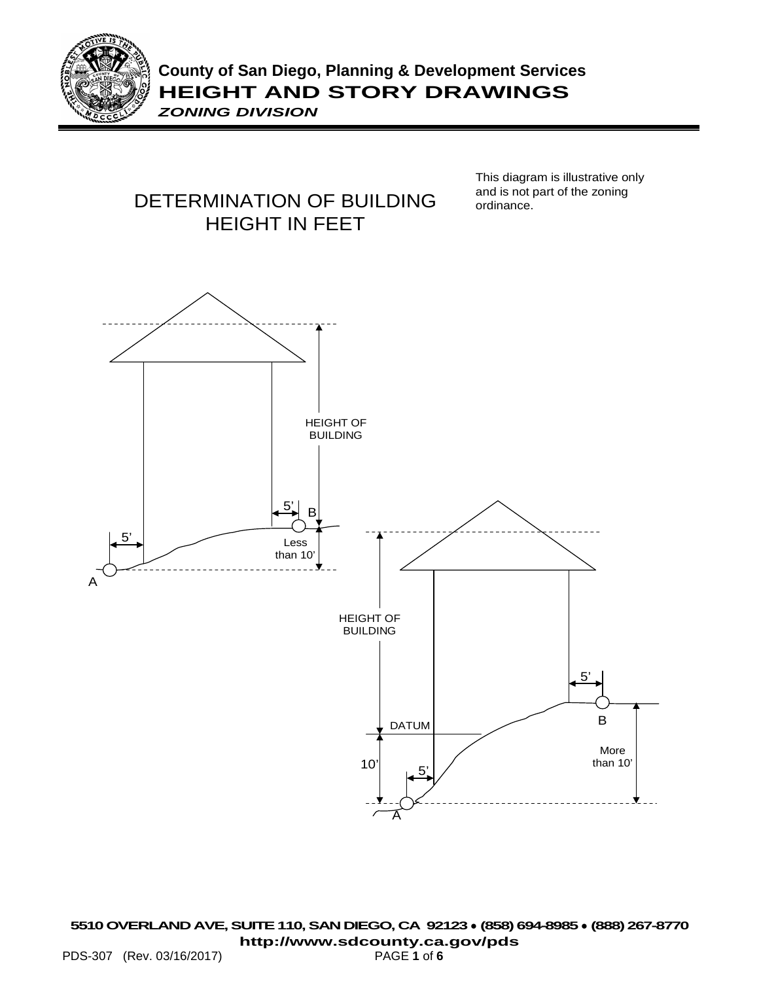



This diagram is illustrative only and is not part of the zoning ordinance.

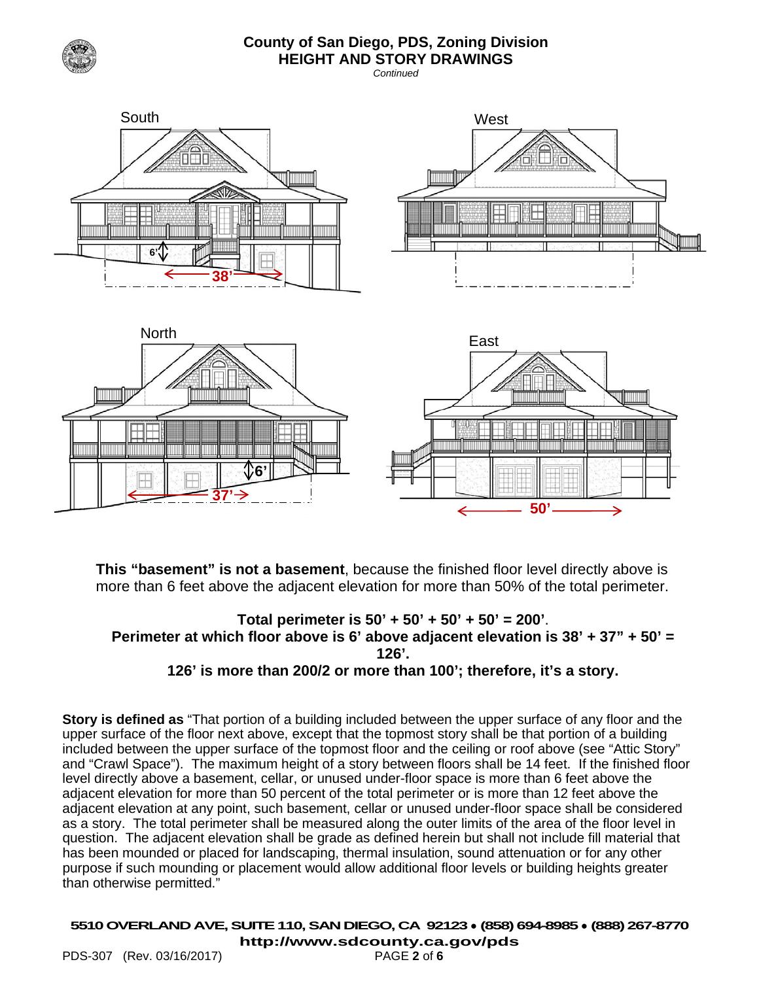

#### **County of San Diego, PDS, Zoning Division HEIGHT AND STORY DRAWINGS**

*Continued*



**This "basement" is not a basement**, because the finished floor level directly above is more than 6 feet above the adjacent elevation for more than 50% of the total perimeter.

#### **Total perimeter is 50' + 50' + 50' + 50' = 200'**. **Perimeter at which floor above is 6' above adjacent elevation is 38' + 37" + 50' = 126'. 126' is more than 200/2 or more than 100'; therefore, it's a story.**

**Story is defined as** "That portion of a building included between the upper surface of any floor and the upper surface of the floor next above, except that the topmost story shall be that portion of a building included between the upper surface of the topmost floor and the ceiling or roof above (see "Attic Story" and "Crawl Space"). The maximum height of a story between floors shall be 14 feet. If the finished floor level directly above a basement, cellar, or unused under-floor space is more than 6 feet above the adjacent elevation for more than 50 percent of the total perimeter or is more than 12 feet above the adjacent elevation at any point, such basement, cellar or unused under-floor space shall be considered as a story. The total perimeter shall be measured along the outer limits of the area of the floor level in question. The adjacent elevation shall be grade as defined herein but shall not include fill material that has been mounded or placed for landscaping, thermal insulation, sound attenuation or for any other purpose if such mounding or placement would allow additional floor levels or building heights greater than otherwise permitted."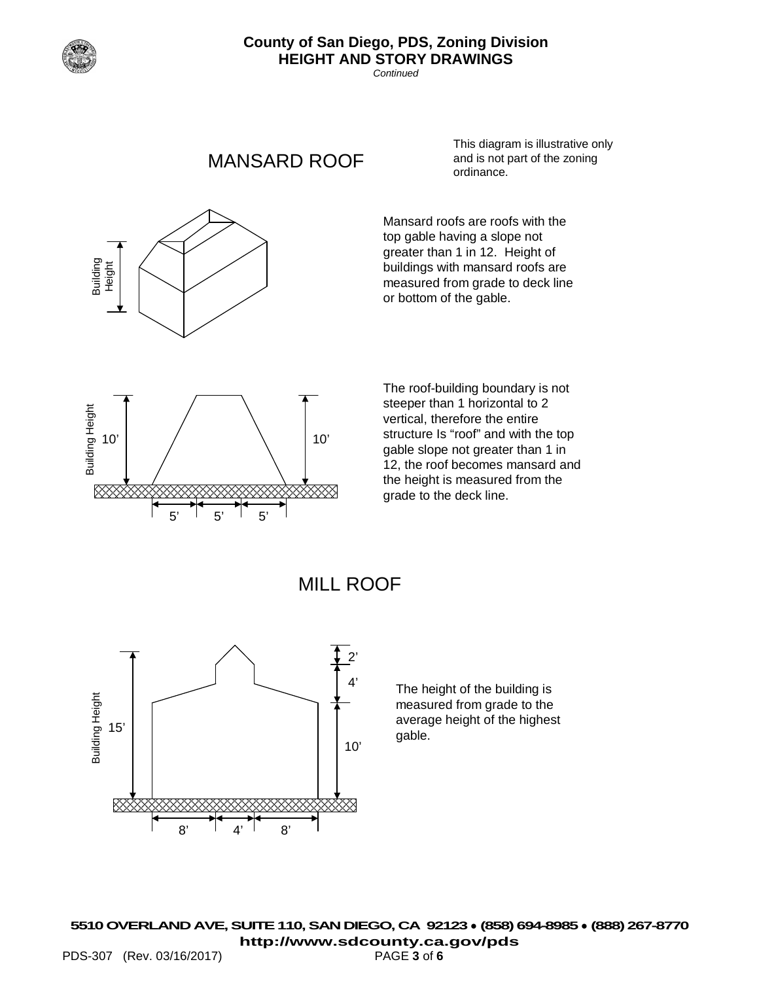

Height

Building

## **County of San Diego, PDS, Zoning Division HEIGHT AND STORY DRAWINGS**

*Continued*

# MANSARD ROOF

This diagram is illustrative only and is not part of the zoning ordinance.

Mansard roofs are roofs with the top gable having a slope not greater than 1 in 12. Height of buildings with mansard roofs are measured from grade to deck line or bottom of the gable.



The roof-building boundary is not steeper than 1 horizontal to 2 vertical, therefore the entire structure Is "roof" and with the top gable slope not greater than 1 in 12, the roof becomes mansard and the height is measured from the grade to the deck line.





The height of the building is measured from grade to the average height of the highest gable.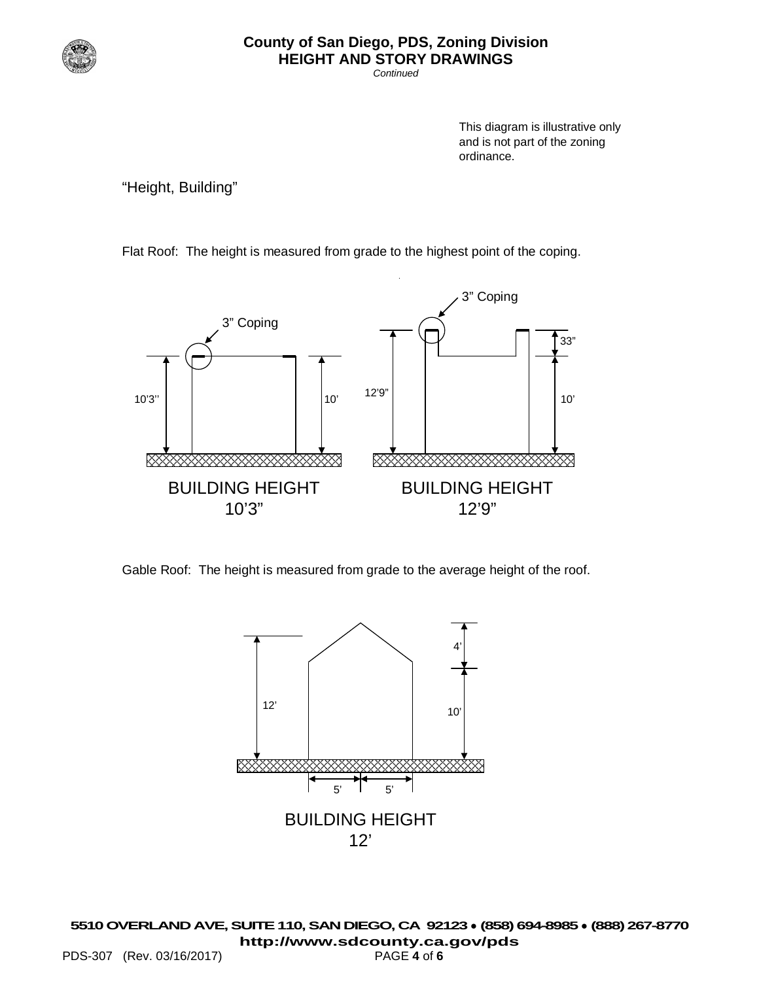

## **County of San Diego, PDS, Zoning Division HEIGHT AND STORY DRAWINGS**

*Continued*

This diagram is illustrative only and is not part of the zoning ordinance.

"Height, Building"

Flat Roof: The height is measured from grade to the highest point of the coping.



Gable Roof: The height is measured from grade to the average height of the roof.

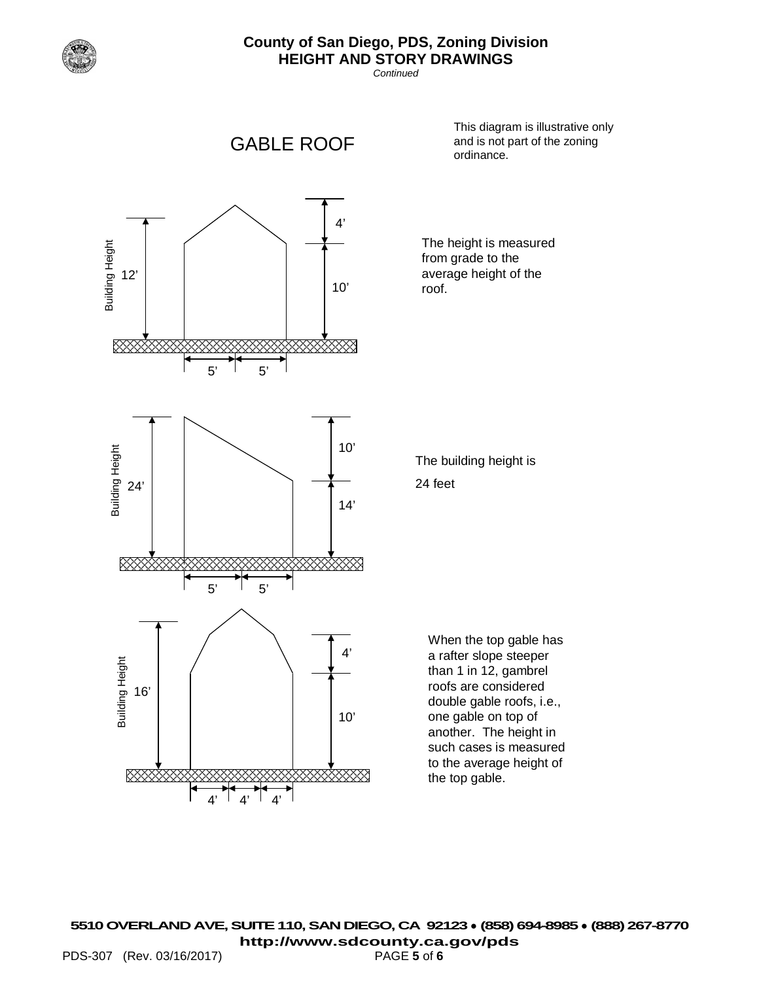

## **County of San Diego, PDS, Zoning Division HEIGHT AND STORY DRAWINGS**

*Continued*